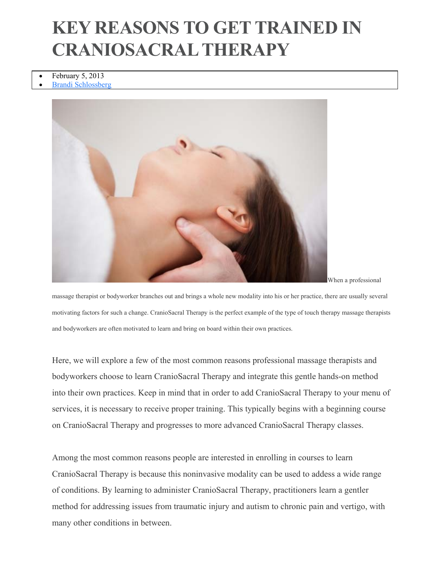## **KEY REASONS TO GET TRAINED IN CRANIOSACRAL THERAPY**

- February 5, 2013
- Brandi Schlossberg



When a professional

massage therapist or bodyworker branches out and brings a whole new modality into his or her practice, there are usually several motivating factors for such a change. CranioSacral Therapy is the perfect example of the type of touch therapy massage therapists and bodyworkers are often motivated to learn and bring on board within their own practices.

Here, we will explore a few of the most common reasons professional massage therapists and bodyworkers choose to learn CranioSacral Therapy and integrate this gentle hands-on method into their own practices. Keep in mind that in order to add CranioSacral Therapy to your menu of services, it is necessary to receive proper training. This typically begins with a beginning course on CranioSacral Therapy and progresses to more advanced CranioSacral Therapy classes.

Among the most common reasons people are interested in enrolling in courses to learn CranioSacral Therapy is because this noninvasive modality can be used to addess a wide range of conditions. By learning to administer CranioSacral Therapy, practitioners learn a gentler method for addressing issues from traumatic injury and autism to chronic pain and vertigo, with many other conditions in between.